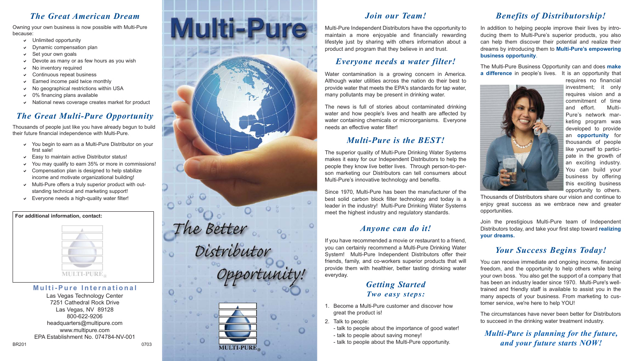#### *The Great American Dream*

Owning your own business is now possible with Multi-Pure because:

- $\vee$  Unlimited opportunity
- $\vee$  Dynamic compensation plan
- Set your own goals
- $\vee$  Devote as many or as few hours as you wish
- $\vee$  No inventory required
- $\vee$  Continuous repeat business
- Earned income paid twice monthly
- $\vee$  No geographical restrictions within USA
- $\vee$  0% financing plans available
- $\vee$  National news coverage creates market for product

#### *The Great Multi-Pure Opportunity*

Thousands of people just like you have already begun to build their future financial independence with Multi-Pure.

- $\vee$  You begin to earn as a Multi-Pure Distributor on your first sale!
- $\triangleright$  Easy to maintain active Distributor status!
- $\vee$  You may qualify to earn 35% or more in commissions!
- $\vee$  Compensation plan is designed to help stabilize income and motivate organizational building!
- $\vee$  Multi-Pure offers a truly superior product with outstanding technical and marketing support!
- $\triangleright$  Everyone needs a high-quality water filter!

#### **For additional information, contact:**



#### **Multi-Pure International**

Las Vegas Technology Center 7251 Cathedral Rock Drive Las Vegas, NV 89128 800-622-9206 headquarters@multipure.com www.multipure.com EPA Establishment No. 074784-NV-001



## *Join our Team!*

Multi-Pure Independent Distributors have the opportunity to maintain a more enjoyable and financially rewarding lifestyle just by sharing with others information about a product and program that they believe in and trust.

#### *Everyone needs a water filter!*

Water contamination is a growing concern in America. Although water utilities across the nation do their best to provide water that meets the EPA's standards for tap water, many pollutants may be present in drinking water.

The news is full of stories about contaminated drinking water and how people's lives and health are affected by water containing chemicals or microorganisms. Everyone needs an effective water filter!

## *Multi-Pure is the BEST!*

The superior quality of Multi-Pure Drinking Water Systems makes it easy for our Independent Distributors to help the people they know live better lives. Through person-to-person marketing our Distributors can tell consumers about Multi-Pure's innovative technology and benefits.

Since 1970, Multi-Pure has been the manufacturer of the best solid carbon block filter technology and today is a leader in the industry! Multi-Pure Drinking Water Systems meet the highest industry and regulatory standards.

#### *Anyone can do it!*

If you have recommended a movie or restaurant to a friend, you can certainly recommend a Multi-Pure Drinking Water System! Multi-Pure Independent Distributors offer their friends, family, and co-workers superior products that will provide them with healthier, better tasting drinking water everyday.

## *Getting Started Two easy steps:*

- 1. Become a Multi-Pure customer and discover how great the product is!
- 2. Talk to people:
- talk to people about the importance of good water! - talk to people about saving money!
- talk to people about the Multi-Pure opportunity.

# *Benefits of Distributorship!*

In addition to helping people improve their lives by introducing them to Multi-Pure's superior products, you also can help them discover their potential and realize their dreams by introducing them to **Multi-Pure's empowering business opportunity** .

The Multi-Pure Business Opportunity can and does **make a difference** in people's lives. It is an opportunity that



requires no financial investment; it only requires vision and a commitment of time and effort. Multi-Pure's network marketing program was developed to provide an **opportunity** for thousands of people like yourself to participate in the growth of an exciting industry. You can build your business by offering this exciting business opportunity to others.

Thousands of Distributors share our vision and continue to enjoy great success as we embrace new and greater opportunities.

Join the prestigious Multi-Pure team of Independent Distributors today, and take your first step toward **realizing your dreams.**

#### *Your Success Begins Today!*

You can receive immediate and ongoing income, financial freedom, and the opportunity to help others while being your own boss. You also get the support of a company that has been an industry leader since 1970. Multi-Pure's welltrained and friendly staff is available to assist you in the many aspects of your business. From marketing to customer service, we're here to help YOU!

The circumstances have never been better for Distributors to succeed in the drinking water treatment industry.

*Multi-Pure is planning for the future, and your future starts NOW!*